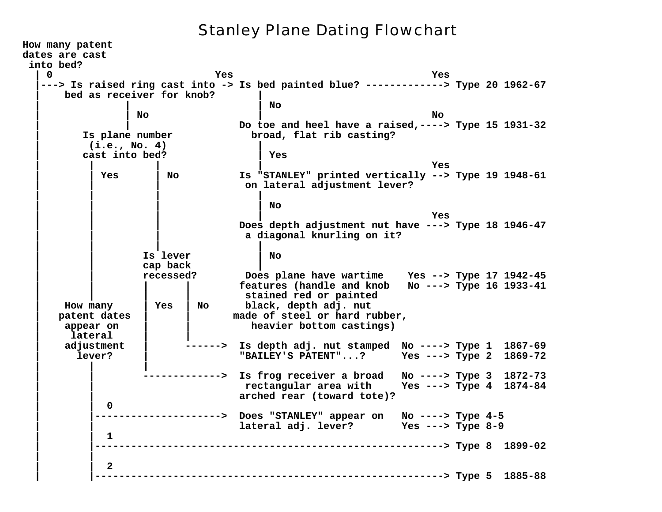## Stanley Plane Dating Flowchart

**How many patent dates are cast into bed? | 0 Yes Yes |---> Is raised ring cast into -> Is bed painted blue? -------------> Type 20 1962-67 | bed as receiver for knob? | | | | No | | No | No | | Do toe and heel have a raised,----> Type 15 1931-32 | Is plane number broad, flat rib casting? | (i.e., No. 4) | | cast into bed? | Yes | | | | Yes | | Yes | No Is "STANLEY" printed vertically --> Type 19 1948-61 | | | on lateral adjustment lever? | | | | | | | | No | | | | Yes | | | Does depth adjustment nut have ---> Type 18 1946-47 | | | a diagonal knurling on it? | | | | | | Is lever | No | | cap back | | | recessed? Does plane have wartime Yes --> Type 17 1942-45 | | | | features (handle and knob No ---> Type 16 1933-41 | | | | stained red or painted | How many | Yes | No black, depth adj. nut | patent dates | | made of steel or hard rubber, | appear on | | heavier bottom castings) | lateral | | | adjustment | ------> Is depth adj. nut stamped No ----> Type 1 1867-69 | lever? | "BAILEY'S PATENT"...? Yes ---> Type 2 1869-72 | | | | | -------------> Is frog receiver a broad No ----> Type 3 1872-73 | | rectangular area with Yes ---> Type 4 1874-84 | | arched rear (toward tote)? | | 0 | |---------------------> Does "STANLEY" appear on No ----> Type 4-5 | | lateral adj. lever? Yes ---> Type 8-9 | | 1 | |----------------------------------------------------------> Type 8 1899-02 | | | | 2 | |----------------------------------------------------------> Type 5 1885-88**